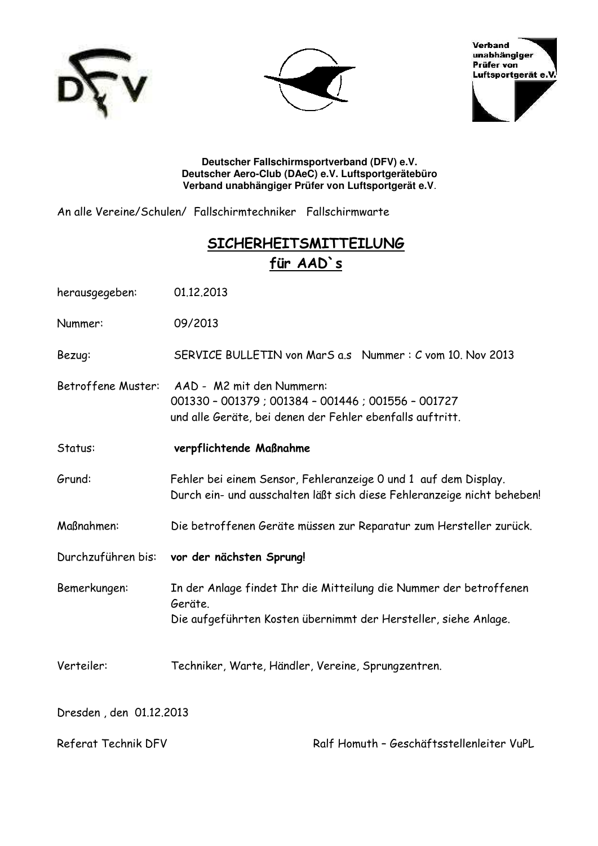





**Deutscher Fallschirmsportverband (DFV) e.V. Deutscher Aero-Club (DAeC) e.V. Luftsportgerätebüro Verband unabhängiger Prüfer von Luftsportgerät e.V**.

An alle Vereine/Schulen/ Fallschirmtechniker Fallschirmwarte

## **SICHERHEITSMITTEILUNG für AAD`s**

| herausgegeben:          | 01.12.2013                                                                                                                                       |
|-------------------------|--------------------------------------------------------------------------------------------------------------------------------------------------|
| Nummer:                 | 09/2013                                                                                                                                          |
| Bezug:                  | SERVICE BULLETIN von MarS a.s Nummer: C vom 10. Nov 2013                                                                                         |
| Betroffene Muster:      | AAD - M2 mit den Nummern:<br>001330 - 001379 ; 001384 - 001446 ; 001556 - 001727<br>und alle Geräte, bei denen der Fehler ebenfalls auftritt.    |
| Status:                 | verpflichtende Maßnahme                                                                                                                          |
| Grund:                  | Fehler bei einem Sensor, Fehleranzeige 0 und 1 auf dem Display.<br>Durch ein- und ausschalten läßt sich diese Fehleranzeige nicht beheben!       |
| Maßnahmen:              | Die betroffenen Geräte müssen zur Reparatur zum Hersteller zurück.                                                                               |
|                         | Durchzuführen bis: vor der nächsten Sprung!                                                                                                      |
| Bemerkungen:            | In der Anlage findet Ihr die Mitteilung die Nummer der betroffenen<br>Geräte.<br>Die aufgeführten Kosten übernimmt der Hersteller, siehe Anlage. |
| Verteiler:              | Techniker, Warte, Händler, Vereine, Sprungzentren.                                                                                               |
| Dresden, den 01.12.2013 |                                                                                                                                                  |
| Referat Technik DFV     | Ralf Homuth - Geschäftsstellenleiter VuPL                                                                                                        |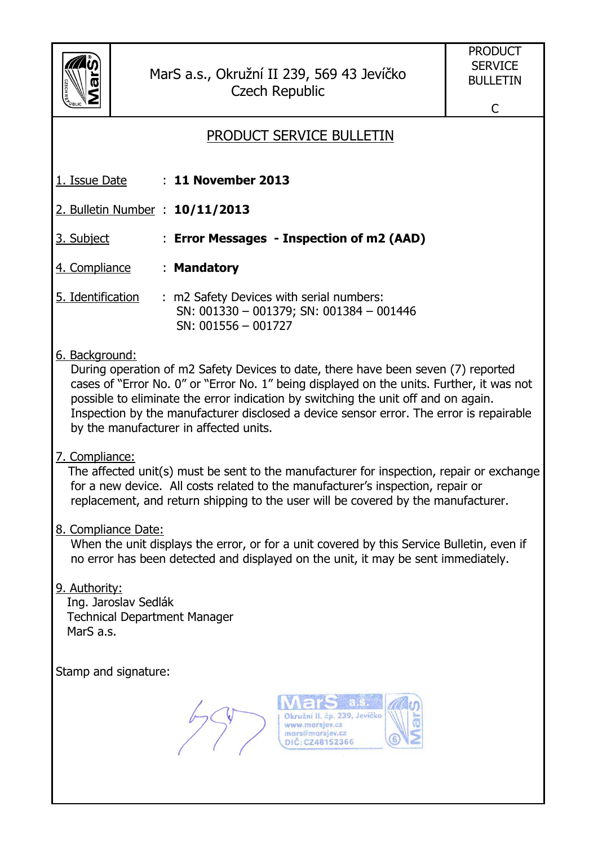

MarS a.s., Okružní II 239, 569 43 Jevíčko Czech Republic

C

## PRODUCT SERVICE BULLETIN 1. Issue Date : **11 November 2013** 2. Bulletin Number : **10/11/2013** 3. Subject : **Error Messages - Inspection of m2 (AAD)**  4. Compliance : **Mandatory**  5. Identification : m2 Safety Devices with serial numbers: SN: 001330 – 001379; SN: 001384 – 001446 SN: 001556 – 001727 6. Background: During operation of m2 Safety Devices to date, there have been seven (7) reported cases of "Error No. 0" or "Error No. 1" being displayed on the units. Further, it was not possible to eliminate the error indication by switching the unit off and on again. Inspection by the manufacturer disclosed a device sensor error. The error is repairable by the manufacturer in affected units. 7. Compliance: The affected unit(s) must be sent to the manufacturer for inspection, repair or exchange for a new device. All costs related to the manufacturer's inspection, repair or replacement, and return shipping to the user will be covered by the manufacturer. 8. Compliance Date: When the unit displays the error, or for a unit covered by this Service Bulletin, even if no error has been detected and displayed on the unit, it may be sent immediately. 9. Authority: Ing. Jaroslav Sedlák Technical Department Manager MarS a.s. Stamp and signature: Okružní II. čp. 239, Jevíčko www.marsjev.cz mars@marsjev.cz